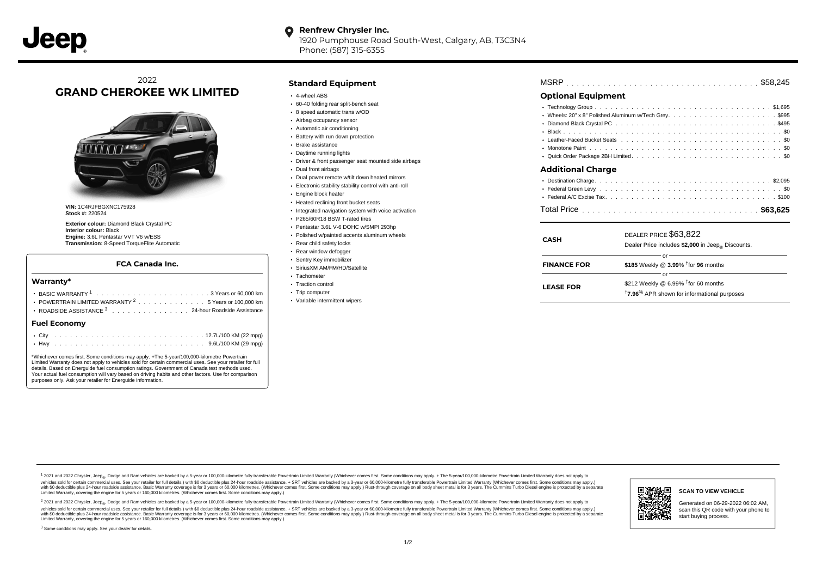1920 Pumphouse Road South-West, Calgary, AB, T3C3N4 Phone: (587) 315-6355

# 2022 **GRAND CHEROKEE WK LIMITED**



**VIN:** 1C4RJFBGXNC175928 **Stock #:** 220524

**Exterior colour:** Diamond Black Crystal PC **Interior colour:** Black **Engine:** 3.6L Pentastar VVT V6 w/ESS **Transmission:** 8-Speed TorqueFlite Automatic

### **FCA Canada Inc.**

### **Warranty\***

| . 3 Years or 60,000 km<br>POWERTRAIN LIMITED WARRANTY <sup>2</sup> 5 Years or 100,000 km<br>ROADSIDE ASSISTANCE 3 24-hour Roadside Assistance | Trip computer<br>• Variable intermittent wipers | LEASE FUR | <sup>†</sup> 7.96 <sup>%</sup> APR shown for informational purposes |
|-----------------------------------------------------------------------------------------------------------------------------------------------|-------------------------------------------------|-----------|---------------------------------------------------------------------|
| Fuel Economy                                                                                                                                  |                                                 |           |                                                                     |

\*Whichever comes first. Some conditions may apply. +The 5-year/100,000-kilometre Powertrain Limited Warranty does not apply to vehicles sold for certain commercial uses. See your retailer for full details. Based on Energuide fuel consumption ratings. Government of Canada test methods used. Your actual fuel consumption will vary based on driving habits and other factors. Use for comparison purposes only. Ask your retailer for Energuide information.

## **Standard Equipment**

- 4-wheel ABS
- 60-40 folding rear split-bench seat
- 8 speed automatic trans w/OD
- Airbag occupancy sensor
- Automatic air conditioning
- Battery with run down protection
- Brake assistance
- Daytime running lights
- Driver & front passenger seat mounted side airbags
- Dual front airbags
- Dual power remote w/tilt down heated mirrors
- Electronic stability stability control with anti-roll
- Engine block heater
- Heated reclining front bucket seats
- Integrated navigation system with voice activation
- P265/60R18 BSW T-rated tires
- Pentastar 3.6L V-6 DOHC w/SMPI 293hp
- Polished w/painted accents aluminum wheels
- Rear child safety locks
- Rear window defogger
- Sentry Key immobilizer
- SiriusXM AM/FM/HD/Satellite
- Tachometer • Traction control
- 
- Trip computer
- Variable intermittent wipers

| <b>MSRP</b> |  |  |  |  |  |  |  |  |  |  |  |  |  |  |  |  |  |  |  |  |  |  |  |  |  |  |  |  |  |  |  |  |  |  |  |  |  |
|-------------|--|--|--|--|--|--|--|--|--|--|--|--|--|--|--|--|--|--|--|--|--|--|--|--|--|--|--|--|--|--|--|--|--|--|--|--|--|
|-------------|--|--|--|--|--|--|--|--|--|--|--|--|--|--|--|--|--|--|--|--|--|--|--|--|--|--|--|--|--|--|--|--|--|--|--|--|--|

# **Optional Equipment**

| <b>Additional Charge</b> |  |       |
|--------------------------|--|-------|
|                          |  |       |
|                          |  |       |
| : Enderal AIC Evaing Toy |  | 0.100 |

. . . . . . . . . . . . . . . . . . . . . . . . . . . . . . . . . . . . . . . . . . . . . . Federal A/C Excise Tax \$100 . . . . . . . . . . . . . . . . . . . . . . . . . . . . . . . . . . . . . . . . . . . . . . Total Price **\$63,625**

| <b>CASH</b>        | DEALER PRICE \$63,822<br>Dealer Price includes \$2,000 in Jeep® Discounts.                                          |
|--------------------|---------------------------------------------------------------------------------------------------------------------|
| <b>FINANCE FOR</b> | or<br>\$185 Weekly @ $3.99\%$ <sup>†</sup> for 96 months                                                            |
| <b>LEASE FOR</b>   | or<br>\$212 Weekly @ 6.99% $†$ for 60 months<br><sup>†</sup> 7.96 <sup>%</sup> APR shown for informational purposes |

1 2021 and 2022 Chrysler, Jeep<sub>en</sub> Dodge and Ram vehicles are backed by a 5-year or 100,000-kilometre fully transferable Powertrain Limited Warranty (Whichever comes first. Some conditions may apply. + The 5-year/100,000-k vehicles sold for certain commercial uses. See your retailer for full details.) with \$0 deductible plus 24-hour roadside assistance. + SRT vehicles are backed by a 3-year or 60,000-kilometre fully transferable Powertrain L ventals and contract when the contract when the contract you contract when the contract when the control of the set of a set of a set of a set of 3 years of 60,000 kilometres. Whichever comes first. Some conditions may app Limited Warranty, covering the engine for 5 years or 160,000 kilometres. (Whichever comes first. Some conditions may apply.)

<sup>2</sup> 2021 and 2022 Chrysler, Jeep<sub>®</sub>, Dodge and Ram vehicles are backed by a 5-year or 100,000-kilometre fully transferable Powertrain Limited Warranty (Whichever comes first. Some conditions may apply. + The 5-year/100,000 vehicles sold for certain commercial uses. See your retailer for full details.) with SO deductible plus 24-hour roadside assistance. + SRT vehicles are backed by a 3-year or 60.000-kilometre fully transferable Powertrain L with S0 deductible plus 24-hour roadside assistance. Basic Warranty coverage is for 3 years or 60,000 kilometres. (Whichever comes first. Some conditions may apply.) Rust-through coverage on all body sheet metal is for 3 y



**SCAN TO VIEW VEHICLE**

Generated on 06-29-2022 06:02 AM, scan this QR code with your phone to start buying process.